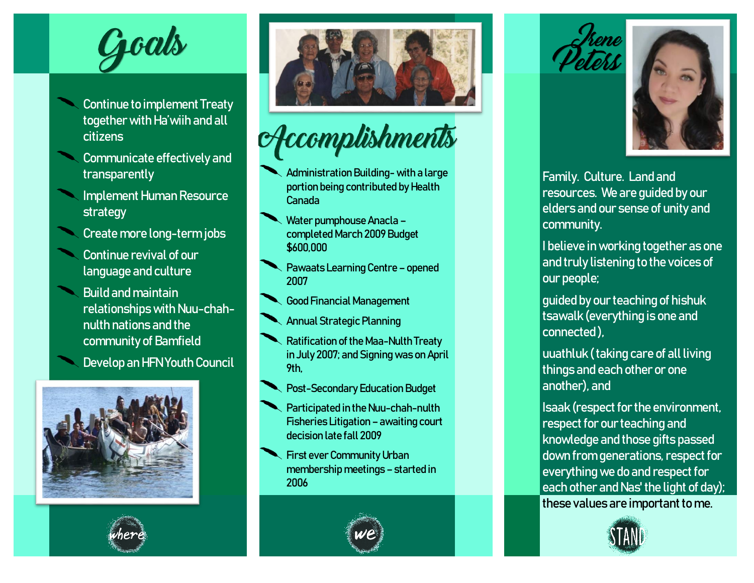Continue to implement Treaty together with Ha'wiih and all citizens

Communicate effectively and transparently

Implement Human Resource strategy



Create more long -term jobs

Continue revival of our language and culture

Build and maintain relationships with Nuu -chah nulth nations and the community of Bamfield

Develop an HFN Youth Council







## efccomplishments

- Administration Building with a large portion being contributed by Health Canada
- Water pumphouse Anacla completed March 2009 Budget \$600,000
- Pawaats Learning Centre opened 2007
- Good Financial Management



- Annual Strategic Planning
- Ratification of the Maa Nulth Treaty in July 2007; and Signing was on April 9th,
- Post -Secondary Education Budget
- Participated in the Nuu-chah-nulth Fisheries Litigation – awaiting court decision late fall 2009
- First ever Community Urban membership meetings – started in 2006







Family. Culture. Land and resources. We are guided by our elders and our sense of unity and community.

I believe in working together as one and truly listening to the voices of our people;

guided by our teaching of hishuk tsawalk (everything is one and connected ),

uuathluk ( taking care of all living things and each other or one another), and

Isaak (respect for the environment, respect for our teaching and knowledge and those gifts passed down from generations, respect for everything we do and respect for each other and Nas' the light of day); these values are important to me.